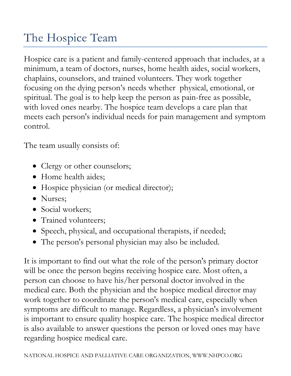## The Hospice Team

Hospice care is a patient and family-centered approach that includes, at a minimum, a team of doctors, nurses, home health aides, social workers, chaplains, counselors, and trained volunteers. They work together focusing on the dying person's needs whether physical, emotional, or spiritual. The goal is to help keep the person as pain-free as possible, with loved ones nearby. The hospice team develops a care plan that meets each person's individual needs for pain management and symptom control.

The team usually consists of:

- Clergy or other counselors;
- Home health aides;
- Hospice physician (or medical director);
- Nurses:
- Social workers;
- Trained volunteers;
- Speech, physical, and occupational therapists, if needed;
- The person's personal physician may also be included.

It is important to find out what the role of the person's primary doctor will be once the person begins receiving hospice care. Most often, a person can choose to have his/her personal doctor involved in the medical care. Both the physician and the hospice medical director may work together to coordinate the person's medical care, especially when symptoms are difficult to manage. Regardless, a physician's involvement is important to ensure quality hospice care. The hospice medical director is also available to answer questions the person or loved ones may have regarding hospice medical care.